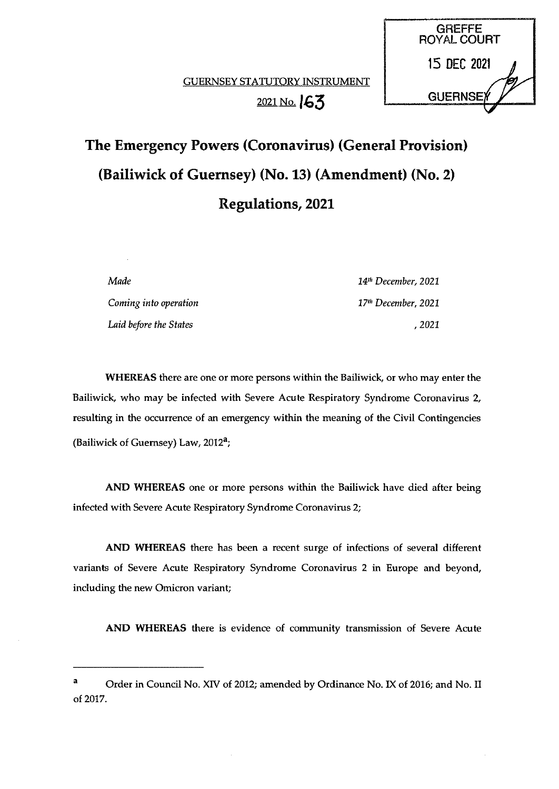**GREFFE** ROYAL COURT

13 DEC 2021



Made 14" December, 2021 Coming into operation and the community of the 17th December, 2021 Laid before the States , 2021

WHEREAS there are one or more persons within the Bailiwick, or who may enter the Bailiwick, who may be infected with Severe Acute Respiratory Syndrome Coronavirus 2, resulting in the occurrence of an emergency within the meaning of the Civil Contingencies (Bailiwick of Guernsey) Law,  $2012<sup>a</sup>$ ;

AND WHEREAS one or more persons within the Bailiwick have died after being infected with Severe Acute Respiratory Syndrome Coronavirus 2;

AND WHEREAS there has been a recent surge of infections of several different variants of Severe Acute Respiratory Syndrome Coronavirus 2 in Europe and beyond, including the new Omicron variant;

AND WHEREAS there is evidence of community transmission of Severe Acute

<sup>a</sup> Order in Council No. XIV of 2012; amended by Ordinance No. IX of 2016; and No. II of 2017.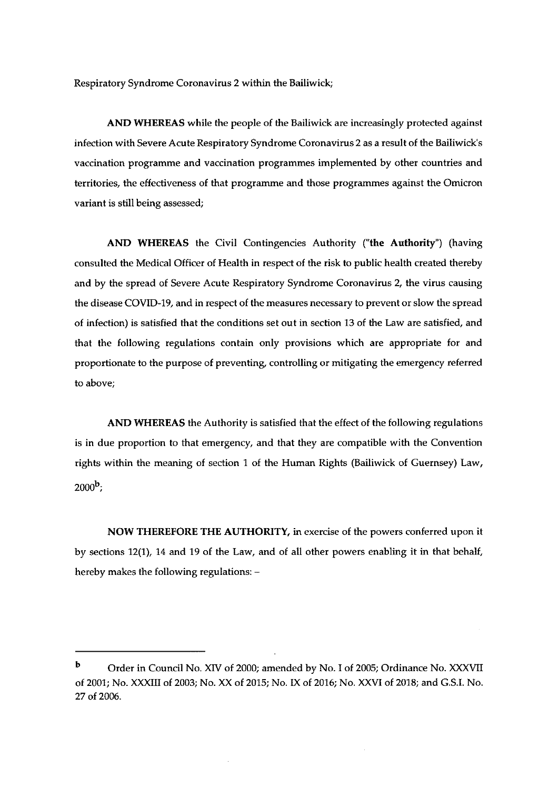Respiratory Syndrome Coronavirus 2 within the Bailiwick;

AND WHEREAS while the people of the Bailiwick are increasingly protected against infection with Severe Acute Respiratory Syndrome Coronavirus 2 as a result of the Bailiwick's vaccination programme and vaccination programmes implemented by other countries and territories, the effectiveness of that programme and those programmes against the Omicron variant is still being assessed;

AND WHEREAS the Civil Contingencies Authority ("the Authority") (having consulted the Medical Officer of Health in respect of the risk to public health created thereby and by the spread of Severe Acute Respiratory Syndrome Coronavirus 2, the virus causing the disease COVID-19, and in respect of the measures necessary to prevent or slow the spread of infection) is satisfied that the conditions set out in section 13 of the Law are satisfied, and that the following regulations contain only provisions which are appropriate for and proportionate to the purpose of preventing, controlling or mitigating the emergency referred to above;

AND WHEREAS the Authority is satisfied that the effect of the following regulations is in due proportion to that emergency, and that they are compatible with the Convention rights within the meaning of section <sup>1</sup> of the Human Rights (Bailiwick of Guernsey) Law,  $2000^{\rm b}$ .

NOW THEREFORE THE AUTHORITY, in exercise of the powers conferred upon it by sections 12(1), 14 and 19 of the Law, and of all other powers enabling it in that behalf, hereby makes the following regulations: —

b Order in Council No. XIV of 2000; amended by No. I of 2005; Ordinance No. XXXVII of 2001; No. XXXIII of 2003; No. XX of 2015; No. IX of 2016; No. XXVI of 2018; and G.S.I. No. 27 of 2006.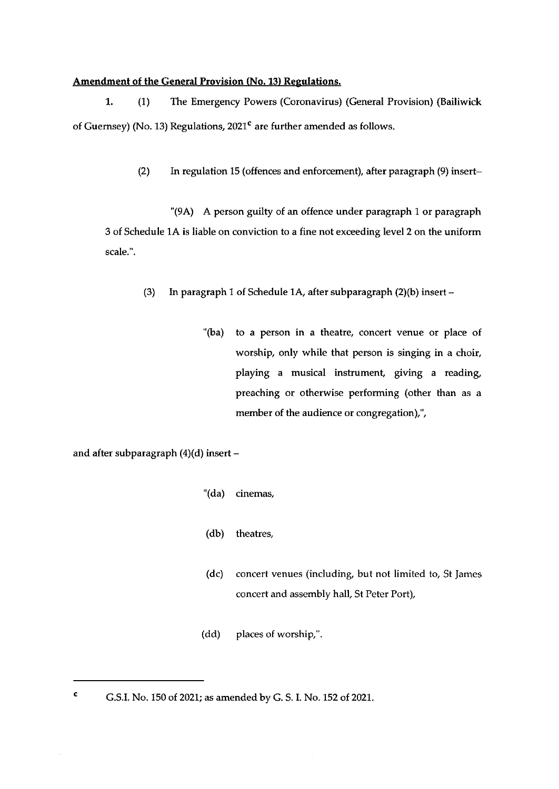#### Amendment of the General Provision (No. 13) Regulations.

1. (1) The Emergency Powers (Coronavirus) (General Provision) (Bailiwick of Guernsey) (No. 13) Regulations,  $2021<sup>c</sup>$  are further amended as follows.

(2) In regulation 15 (offences and enforcement), after paragraph (9) insert—

'(9A) A person guilty of an offence under paragraph <sup>1</sup> or paragraph 3 of Schedule 1A is liable on conviction to a fine not exceeding level 2 on the uniform scale.'.

- (3) In paragraph <sup>1</sup> of Schedule 1A, after subparagraph (2)(b) insert
	- '(ba) to a person in a theatre, concert venue or place of worship, only while that person is singing in a choir, playing a musical instrument, giving a reading, preaching or otherwise performing (other than as a member of the audience or congregation),",

and after subparagraph (4)(d) insert —

- "(da) cinemas,
- (db) theatres,
- (dc) concert venues (including, but not limited to, St James concert and assembly hail, St Peter Port),

 $\bar{\beta}$ 

 $(dd)$  places of worship,".

<sup>C</sup> G.S.I. No. 150 of 2021; as amended by G. S. I. No. 152 of 2021.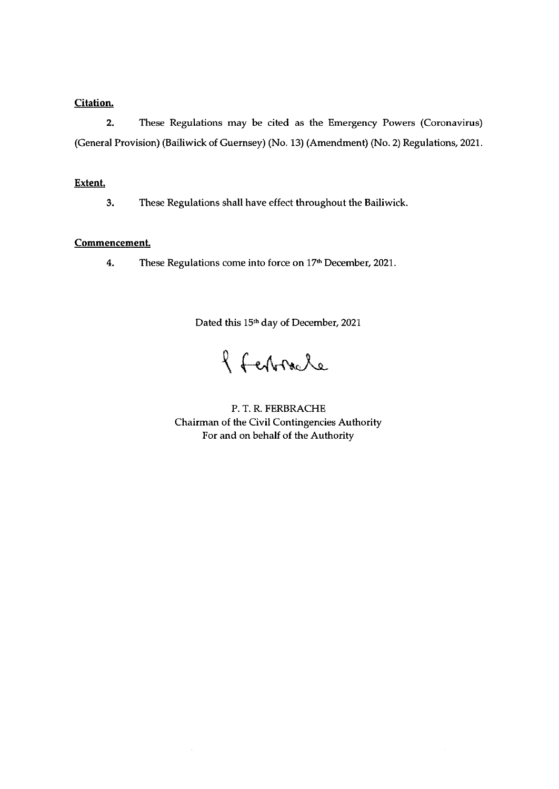## Citation.

2. These Regulations may be cited as the Emergency Powers (Coronavirus) (General Provision) (Bailiwick of Guernsey) (No. 13) (Amendment) (No. 2) Regulations, 2021.

### Extent.

3. These Regulations shall have effect throughout the Bailiwick.

# Commencement.

4. These Regulations come into force on 17th December, 2021.

Dated this 15th day of December, 2021

8 Februare

P. T. R. FERBRACHE Chairman of the Civil Contingencies Authority For and on behalf of the Authority

 $\hat{\boldsymbol{\theta}}$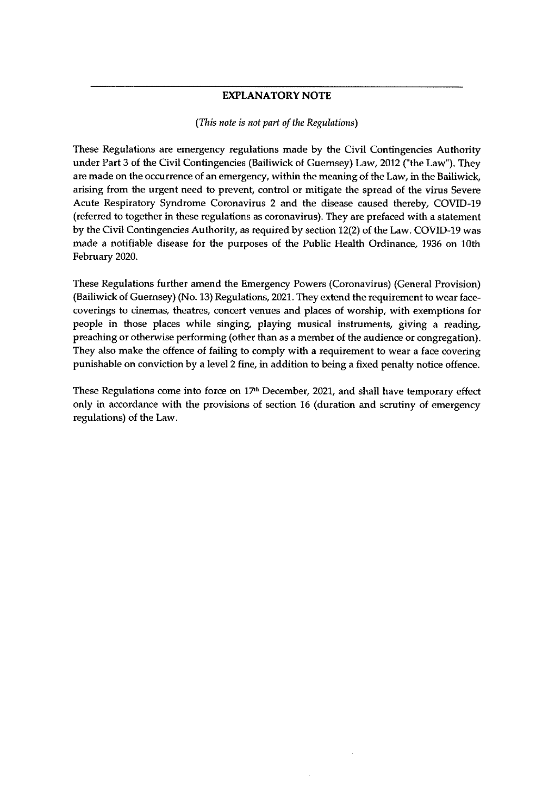### EXPLANATORY NOTE

#### (This note is not part of the Regulations)

These Regulations are emergency regulations made by the Civil Contingencies Authority under Part 3 of the Civil Contingencies (Bailiwick of Guernsey) Law, 2012 ("the Law"). They are made on the occurrence of an emergency, within the meaning of the Law, in the Bailiwick, arising from the urgent need to prevent, control or mitigate the spread of the virus Severe Acute Respiratory Syndrome Coronavirus 2 and the disease caused thereby, COVID-19 (referred to together in these regulations as coronavirus). They are prefaced with a statement by the Civil Contingencies Authority, as required by section 12(2) of the Law. COVID-19 was made a notifiable disease for the purposes of the Public Health Ordinance, 1936 on 10th February 2020.

These Regulations further amend the Emergency Powers (Coronavirus) (General Provision) (Bailiwick of Guernsey) (No. 13) Regulations, 2021. They extend the requirement to wear facecoverings to cinemas, theatres, concert venues and places of worship, with exemptions for people in those places while singing, playing musical instruments, giving a reading, preaching or otherwise performing (other than as a member of the audience or congregation). They also make the offence of failing to comply with a requirement to wear a face covering punishable on conviction by a level <sup>2</sup> fine, in addition to being a fixed penalty notice offence.

These Regulations come into force on  $17<sup>th</sup>$  December, 2021, and shall have temporary effect only in accordance with the provisions of section 16 (duration and scrutiny of emergency regulations) of the Law.